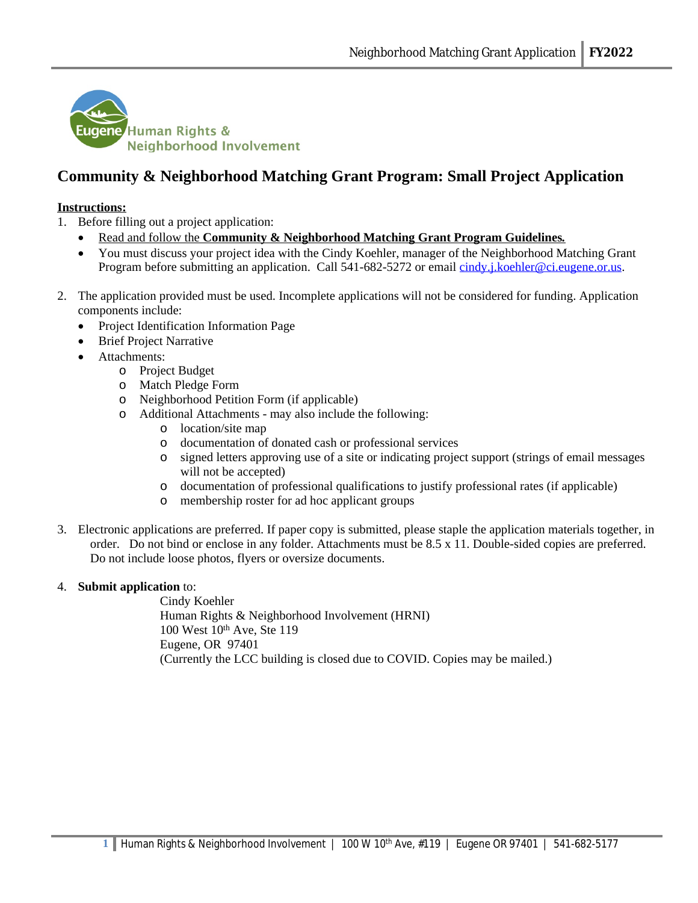

# **Community & Neighborhood Matching Grant Program: Small Project Application**

#### **Instructions:**

- 1. Before filling out a project application:
	- Read and follow the **Community & Neighborhood Matching Grant Program Guidelines***.*
	- You must discuss your project idea with the Cindy Koehler, manager of the Neighborhood Matching Grant Program before submitting an application. Call 541-682-5272 or email [cindy.j.koehler@ci.eugene.or.us.](mailto:cindy.j.koehler@ci.eugene.or.us)
- 2. The application provided must be used. Incomplete applications will not be considered for funding. Application components include:
	- Project Identification Information Page
	- Brief Project Narrative
	- Attachments:
		- o Project Budget
		- o Match Pledge Form
		- o Neighborhood Petition Form (if applicable)
		- o Additional Attachments may also include the following:
			- o location/site map
			- o documentation of donated cash or professional services
			- o signed letters approving use of a site or indicating project support (strings of email messages will not be accepted)
			- o documentation of professional qualifications to justify professional rates (if applicable)
			- o membership roster for ad hoc applicant groups
- 3. Electronic applications are preferred. If paper copy is submitted, please staple the application materials together, in order. Do not bind or enclose in any folder. Attachments must be 8.5 x 11. Double-sided copies are preferred. Do not include loose photos, flyers or oversize documents.

#### 4. **Submit application** to:

Cindy Koehler Human Rights & Neighborhood Involvement (HRNI) 100 West 10th Ave, Ste 119 Eugene, OR 97401 (Currently the LCC building is closed due to COVID. Copies may be mailed.)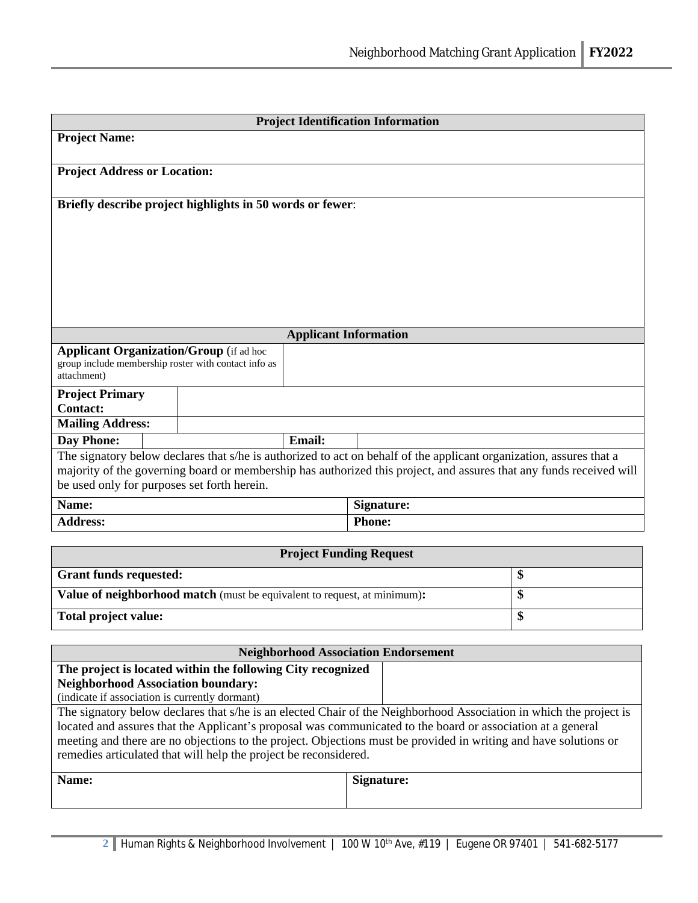| <b>Project Identification Information</b>                                                                                                                                                                                                                                                                                                                                                                                                                                                                                                                                               |  |                                                                                                        |                              |                   |  |  |
|-----------------------------------------------------------------------------------------------------------------------------------------------------------------------------------------------------------------------------------------------------------------------------------------------------------------------------------------------------------------------------------------------------------------------------------------------------------------------------------------------------------------------------------------------------------------------------------------|--|--------------------------------------------------------------------------------------------------------|------------------------------|-------------------|--|--|
| <b>Project Name:</b>                                                                                                                                                                                                                                                                                                                                                                                                                                                                                                                                                                    |  |                                                                                                        |                              |                   |  |  |
| <b>Project Address or Location:</b>                                                                                                                                                                                                                                                                                                                                                                                                                                                                                                                                                     |  |                                                                                                        |                              |                   |  |  |
|                                                                                                                                                                                                                                                                                                                                                                                                                                                                                                                                                                                         |  | Briefly describe project highlights in 50 words or fewer:                                              |                              |                   |  |  |
|                                                                                                                                                                                                                                                                                                                                                                                                                                                                                                                                                                                         |  |                                                                                                        |                              |                   |  |  |
|                                                                                                                                                                                                                                                                                                                                                                                                                                                                                                                                                                                         |  |                                                                                                        | <b>Applicant Information</b> |                   |  |  |
| attachment)                                                                                                                                                                                                                                                                                                                                                                                                                                                                                                                                                                             |  | <b>Applicant Organization/Group</b> (if ad hoc<br>group include membership roster with contact info as |                              |                   |  |  |
| <b>Project Primary</b><br><b>Contact:</b>                                                                                                                                                                                                                                                                                                                                                                                                                                                                                                                                               |  |                                                                                                        |                              |                   |  |  |
| <b>Mailing Address:</b>                                                                                                                                                                                                                                                                                                                                                                                                                                                                                                                                                                 |  |                                                                                                        |                              |                   |  |  |
| <b>Day Phone:</b>                                                                                                                                                                                                                                                                                                                                                                                                                                                                                                                                                                       |  |                                                                                                        | <b>Email:</b>                |                   |  |  |
| The signatory below declares that s/he is authorized to act on behalf of the applicant organization, assures that a<br>majority of the governing board or membership has authorized this project, and assures that any funds received will<br>be used only for purposes set forth herein.                                                                                                                                                                                                                                                                                               |  |                                                                                                        |                              |                   |  |  |
| Name:                                                                                                                                                                                                                                                                                                                                                                                                                                                                                                                                                                                   |  |                                                                                                        |                              | Signature:        |  |  |
| <b>Address:</b>                                                                                                                                                                                                                                                                                                                                                                                                                                                                                                                                                                         |  |                                                                                                        |                              | <b>Phone:</b>     |  |  |
|                                                                                                                                                                                                                                                                                                                                                                                                                                                                                                                                                                                         |  |                                                                                                        |                              |                   |  |  |
| <b>Project Funding Request</b>                                                                                                                                                                                                                                                                                                                                                                                                                                                                                                                                                          |  |                                                                                                        |                              |                   |  |  |
| <b>Grant funds requested:</b>                                                                                                                                                                                                                                                                                                                                                                                                                                                                                                                                                           |  |                                                                                                        | \$                           |                   |  |  |
| Value of neighborhood match (must be equivalent to request, at minimum):                                                                                                                                                                                                                                                                                                                                                                                                                                                                                                                |  |                                                                                                        |                              | \$                |  |  |
| Total project value:                                                                                                                                                                                                                                                                                                                                                                                                                                                                                                                                                                    |  |                                                                                                        | \$                           |                   |  |  |
|                                                                                                                                                                                                                                                                                                                                                                                                                                                                                                                                                                                         |  |                                                                                                        |                              |                   |  |  |
| <b>Neighborhood Association Endorsement</b>                                                                                                                                                                                                                                                                                                                                                                                                                                                                                                                                             |  |                                                                                                        |                              |                   |  |  |
| The project is located within the following City recognized<br><b>Neighborhood Association boundary:</b><br>(indicate if association is currently dormant)<br>The signatory below declares that s/he is an elected Chair of the Neighborhood Association in which the project is<br>located and assures that the Applicant's proposal was communicated to the board or association at a general<br>meeting and there are no objections to the project. Objections must be provided in writing and have solutions or<br>remedies articulated that will help the project be reconsidered. |  |                                                                                                        |                              |                   |  |  |
| Name:                                                                                                                                                                                                                                                                                                                                                                                                                                                                                                                                                                                   |  |                                                                                                        |                              | <b>Signature:</b> |  |  |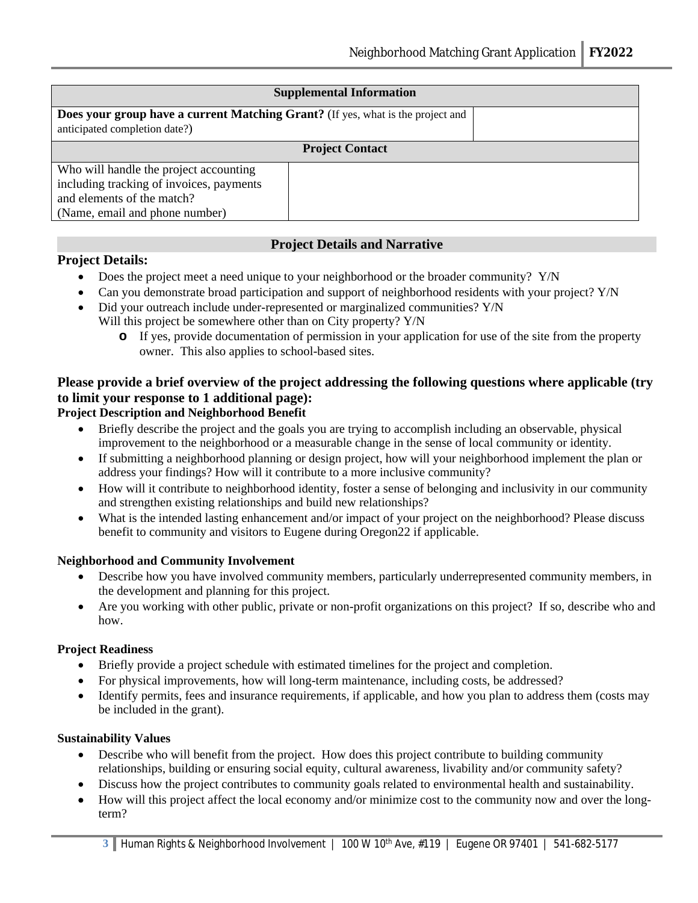| <b>Supplemental Information</b>                                                                                         |  |  |  |  |
|-------------------------------------------------------------------------------------------------------------------------|--|--|--|--|
| <b>Does your group have a current Matching Grant?</b> (If yes, what is the project and<br>anticipated completion date?) |  |  |  |  |
| <b>Project Contact</b>                                                                                                  |  |  |  |  |
| Who will handle the project accounting                                                                                  |  |  |  |  |
| including tracking of invoices, payments                                                                                |  |  |  |  |
| and elements of the match?                                                                                              |  |  |  |  |
| (Name, email and phone number)                                                                                          |  |  |  |  |

# **Project Details and Narrative**

# **Project Details:**

- Does the project meet a need unique to your neighborhood or the broader community? Y/N
- Can you demonstrate broad participation and support of neighborhood residents with your project? Y/N
- Did your outreach include under-represented or marginalized communities? Y/N Will this project be somewhere other than on City property? Y/N
	- **o** If yes, provide documentation of permission in your application for use of the site from the property owner. This also applies to school-based sites.

# **Please provide a brief overview of the project addressing the following questions where applicable (try to limit your response to 1 additional page):**

# **Project Description and Neighborhood Benefit**

- Briefly describe the project and the goals you are trying to accomplish including an observable, physical improvement to the neighborhood or a measurable change in the sense of local community or identity.
- If submitting a neighborhood planning or design project, how will your neighborhood implement the plan or address your findings? How will it contribute to a more inclusive community?
- How will it contribute to neighborhood identity, foster a sense of belonging and inclusivity in our community and strengthen existing relationships and build new relationships?
- What is the intended lasting enhancement and/or impact of your project on the neighborhood? Please discuss benefit to community and visitors to Eugene during Oregon22 if applicable.

#### **Neighborhood and Community Involvement**

- Describe how you have involved community members, particularly underrepresented community members, in the development and planning for this project.
- Are you working with other public, private or non-profit organizations on this project? If so, describe who and how.

#### **Project Readiness**

- Briefly provide a project schedule with estimated timelines for the project and completion.
- For physical improvements, how will long-term maintenance, including costs, be addressed?
- Identify permits, fees and insurance requirements, if applicable, and how you plan to address them (costs may be included in the grant).

#### **Sustainability Values**

- Describe who will benefit from the project. How does this project contribute to building community relationships, building or ensuring social equity, cultural awareness, livability and/or community safety?
- Discuss how the project contributes to community goals related to environmental health and sustainability.
- How will this project affect the local economy and/or minimize cost to the community now and over the longterm?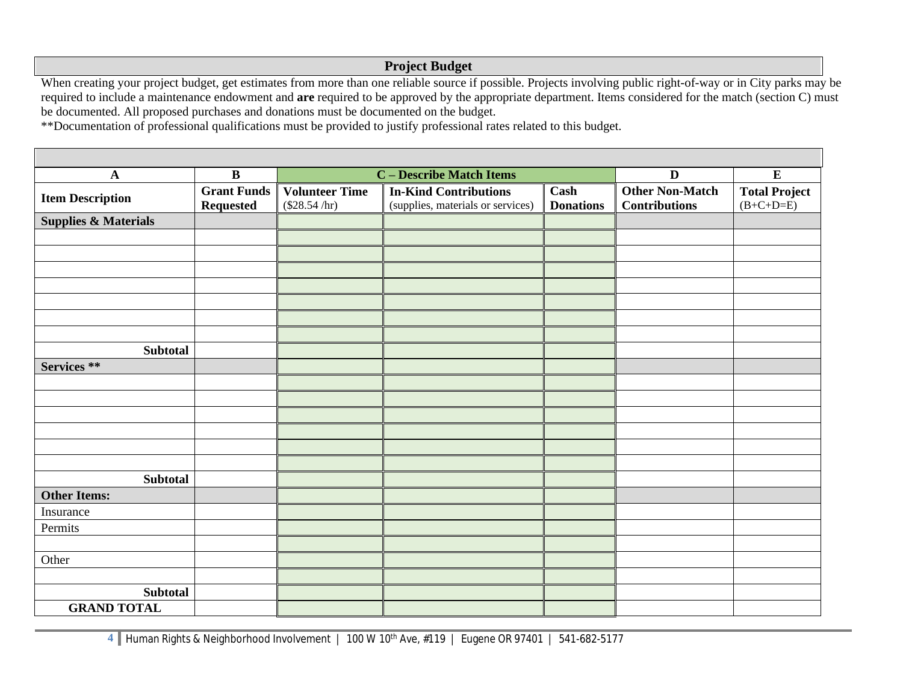# **Project Budget**

When creating your project budget, get estimates from more than one reliable source if possible. Projects involving public right-of-way or in City parks may be required to include a maintenance endowment and **are** required to be approved by the appropriate department. Items considered for the match (section C) must be documented. All proposed purchases and donations must be documented on the budget.

\*\*Documentation of professional qualifications must be provided to justify professional rates related to this budget.

| $\mathbf A$                     | $\overline{\mathbf{B}}$                | <b>C</b> – Describe Match Items           |                                                                   |                          | $\overline{\mathbf{D}}$                        | $\overline{E}$                      |
|---------------------------------|----------------------------------------|-------------------------------------------|-------------------------------------------------------------------|--------------------------|------------------------------------------------|-------------------------------------|
| <b>Item Description</b>         | <b>Grant Funds</b><br><b>Requested</b> | <b>Volunteer Time</b><br>$(\$28.54 / hr)$ | <b>In-Kind Contributions</b><br>(supplies, materials or services) | Cash<br><b>Donations</b> | <b>Other Non-Match</b><br><b>Contributions</b> | <b>Total Project</b><br>$(B+C+D=E)$ |
| <b>Supplies &amp; Materials</b> |                                        |                                           |                                                                   |                          |                                                |                                     |
|                                 |                                        |                                           |                                                                   |                          |                                                |                                     |
|                                 |                                        |                                           |                                                                   |                          |                                                |                                     |
|                                 |                                        |                                           |                                                                   |                          |                                                |                                     |
|                                 |                                        |                                           |                                                                   |                          |                                                |                                     |
|                                 |                                        |                                           |                                                                   |                          |                                                |                                     |
|                                 |                                        |                                           |                                                                   |                          |                                                |                                     |
|                                 |                                        |                                           |                                                                   |                          |                                                |                                     |
| <b>Subtotal</b>                 |                                        |                                           |                                                                   |                          |                                                |                                     |
| Services **                     |                                        |                                           |                                                                   |                          |                                                |                                     |
|                                 |                                        |                                           |                                                                   |                          |                                                |                                     |
|                                 |                                        |                                           |                                                                   |                          |                                                |                                     |
|                                 |                                        |                                           |                                                                   |                          |                                                |                                     |
|                                 |                                        |                                           |                                                                   |                          |                                                |                                     |
|                                 |                                        |                                           |                                                                   |                          |                                                |                                     |
|                                 |                                        |                                           |                                                                   |                          |                                                |                                     |
| <b>Subtotal</b>                 |                                        |                                           |                                                                   |                          |                                                |                                     |
| <b>Other Items:</b>             |                                        |                                           |                                                                   |                          |                                                |                                     |
| Insurance                       |                                        |                                           |                                                                   |                          |                                                |                                     |
| Permits                         |                                        |                                           |                                                                   |                          |                                                |                                     |
|                                 |                                        |                                           |                                                                   |                          |                                                |                                     |
| Other                           |                                        |                                           |                                                                   |                          |                                                |                                     |
|                                 |                                        |                                           |                                                                   |                          |                                                |                                     |
| <b>Subtotal</b>                 |                                        |                                           |                                                                   |                          |                                                |                                     |
| <b>GRAND TOTAL</b>              |                                        |                                           |                                                                   |                          |                                                |                                     |

**4** Human Rights & Neighborhood Involvement | 100 W 10th Ave, #119 | Eugene OR 97401 | 541-682-5177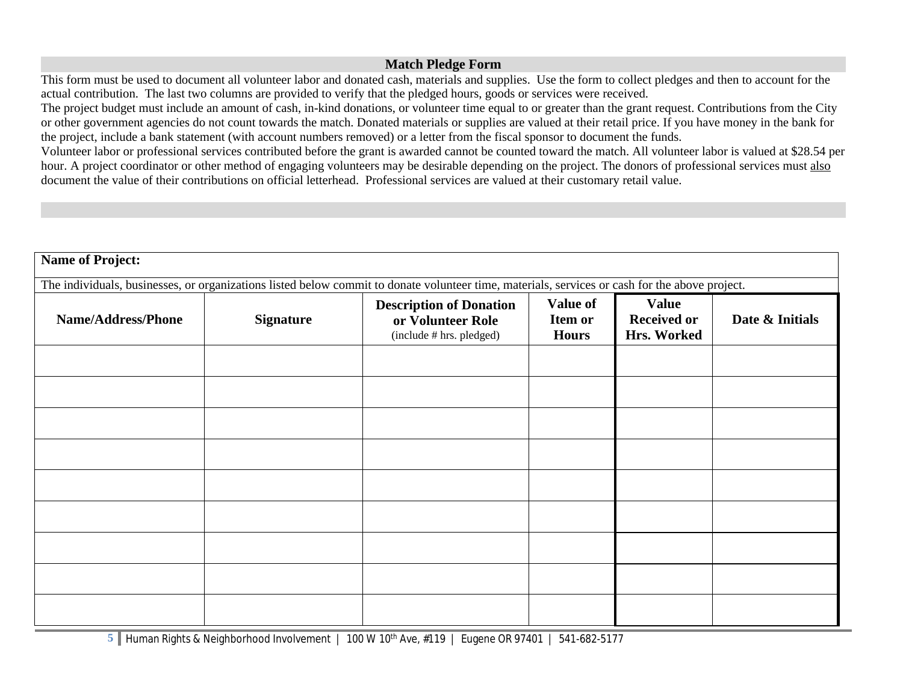# **Match Pledge Form**

This form must be used to document all volunteer labor and donated cash, materials and supplies. Use the form to collect pledges and then to account for the actual contribution. The last two columns are provided to verify that the pledged hours, goods or services were received.

The project budget must include an amount of cash, in-kind donations, or volunteer time equal to or greater than the grant request. Contributions from the City or other government agencies do not count towards the match. Donated materials or supplies are valued at their retail price. If you have money in the bank for the project, include a bank statement (with account numbers removed) or a letter from the fiscal sponsor to document the funds.

Volunteer labor or professional services contributed before the grant is awarded cannot be counted toward the match. All volunteer labor is valued at \$28.54 per hour. A project coordinator or other method of engaging volunteers may be desirable depending on the project. The donors of professional services must also document the value of their contributions on official letterhead. Professional services are valued at their customary retail value.

| <b>Name of Project:</b>                                                                                                                        |                  |                                                                                 |                                     |                                                   |                 |
|------------------------------------------------------------------------------------------------------------------------------------------------|------------------|---------------------------------------------------------------------------------|-------------------------------------|---------------------------------------------------|-----------------|
| The individuals, businesses, or organizations listed below commit to donate volunteer time, materials, services or cash for the above project. |                  |                                                                                 |                                     |                                                   |                 |
| <b>Name/Address/Phone</b>                                                                                                                      | <b>Signature</b> | <b>Description of Donation</b><br>or Volunteer Role<br>(include # hrs. pledged) | Value of<br>Item or<br><b>Hours</b> | <b>Value</b><br><b>Received or</b><br>Hrs. Worked | Date & Initials |
|                                                                                                                                                |                  |                                                                                 |                                     |                                                   |                 |
|                                                                                                                                                |                  |                                                                                 |                                     |                                                   |                 |
|                                                                                                                                                |                  |                                                                                 |                                     |                                                   |                 |
|                                                                                                                                                |                  |                                                                                 |                                     |                                                   |                 |
|                                                                                                                                                |                  |                                                                                 |                                     |                                                   |                 |
|                                                                                                                                                |                  |                                                                                 |                                     |                                                   |                 |
|                                                                                                                                                |                  |                                                                                 |                                     |                                                   |                 |
|                                                                                                                                                |                  |                                                                                 |                                     |                                                   |                 |

**5** Human Rights & Neighborhood Involvement | 100 W 10<sup>th</sup> Ave, #119 | Eugene OR 97401 | 541-682-5177